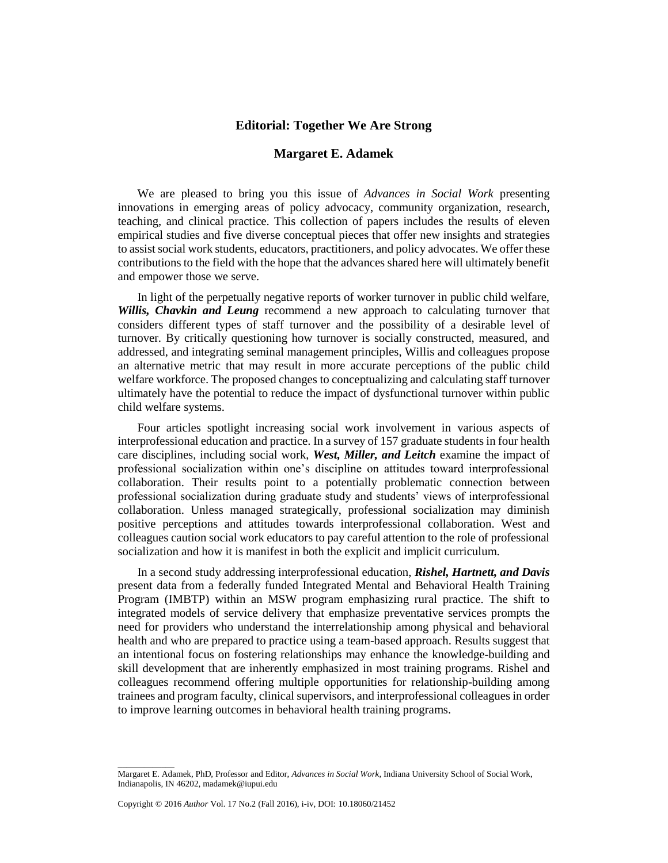## **Editorial: Together We Are Strong**

## **Margaret E. Adamek**

We are pleased to bring you this issue of *Advances in Social Work* presenting innovations in emerging areas of policy advocacy, community organization, research, teaching, and clinical practice. This collection of papers includes the results of eleven empirical studies and five diverse conceptual pieces that offer new insights and strategies to assist social work students, educators, practitioners, and policy advocates. We offer these contributions to the field with the hope that the advances shared here will ultimately benefit and empower those we serve.

In light of the perpetually negative reports of worker turnover in public child welfare, *Willis, Chavkin and Leung* recommend a new approach to calculating turnover that considers different types of staff turnover and the possibility of a desirable level of turnover*.* By critically questioning how turnover is socially constructed, measured, and addressed, and integrating seminal management principles, Willis and colleagues propose an alternative metric that may result in more accurate perceptions of the public child welfare workforce. The proposed changes to conceptualizing and calculating staff turnover ultimately have the potential to reduce the impact of dysfunctional turnover within public child welfare systems.

Four articles spotlight increasing social work involvement in various aspects of interprofessional education and practice. In a survey of 157 graduate students in four health care disciplines, including social work, *West, Miller, and Leitch* examine the impact of professional socialization within one's discipline on attitudes toward interprofessional collaboration. Their results point to a potentially problematic connection between professional socialization during graduate study and students' views of interprofessional collaboration. Unless managed strategically, professional socialization may diminish positive perceptions and attitudes towards interprofessional collaboration. West and colleagues caution social work educators to pay careful attention to the role of professional socialization and how it is manifest in both the explicit and implicit curriculum.

In a second study addressing interprofessional education, *Rishel, Hartnett, and Davis*  present data from a federally funded Integrated Mental and Behavioral Health Training Program (IMBTP) within an MSW program emphasizing rural practice. The shift to integrated models of service delivery that emphasize preventative services prompts the need for providers who understand the interrelationship among physical and behavioral health and who are prepared to practice using a team-based approach. Results suggest that an intentional focus on fostering relationships may enhance the knowledge-building and skill development that are inherently emphasized in most training programs. Rishel and colleagues recommend offering multiple opportunities for relationship-building among trainees and program faculty, clinical supervisors, and interprofessional colleagues in order to improve learning outcomes in behavioral health training programs.

\_\_\_\_\_\_\_\_\_\_\_\_\_

Margaret E. Adamek, PhD, Professor and Editor, *Advances in Social Work*, Indiana University School of Social Work, Indianapolis, IN 46202, madamek@iupui.edu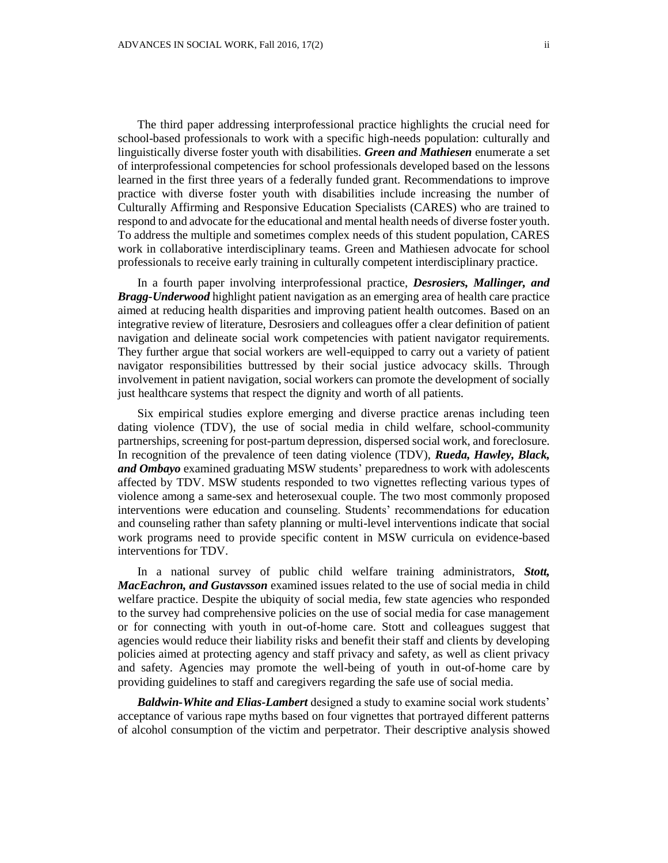The third paper addressing interprofessional practice highlights the crucial need for school-based professionals to work with a specific high-needs population: culturally and

linguistically diverse foster youth with disabilities. *Green and Mathiesen* enumerate a set of interprofessional competencies for school professionals developed based on the lessons learned in the first three years of a federally funded grant. Recommendations to improve practice with diverse foster youth with disabilities include increasing the number of Culturally Affirming and Responsive Education Specialists (CARES) who are trained to respond to and advocate for the educational and mental health needs of diverse foster youth. To address the multiple and sometimes complex needs of this student population, CARES work in collaborative interdisciplinary teams. Green and Mathiesen advocate for school professionals to receive early training in culturally competent interdisciplinary practice.

In a fourth paper involving interprofessional practice, *Desrosiers, Mallinger, and Bragg-Underwood* highlight patient navigation as an emerging area of health care practice aimed at reducing health disparities and improving patient health outcomes. Based on an integrative review of literature, Desrosiers and colleagues offer a clear definition of patient navigation and delineate social work competencies with patient navigator requirements. They further argue that social workers are well-equipped to carry out a variety of patient navigator responsibilities buttressed by their social justice advocacy skills. Through involvement in patient navigation, social workers can promote the development of socially just healthcare systems that respect the dignity and worth of all patients.

Six empirical studies explore emerging and diverse practice arenas including teen dating violence (TDV), the use of social media in child welfare, school-community partnerships, screening for post-partum depression, dispersed social work, and foreclosure. In recognition of the prevalence of teen dating violence (TDV), *Rueda, Hawley, Black, and Ombayo* examined graduating MSW students' preparedness to work with adolescents affected by TDV. MSW students responded to two vignettes reflecting various types of violence among a same-sex and heterosexual couple. The two most commonly proposed interventions were education and counseling. Students' recommendations for education and counseling rather than safety planning or multi-level interventions indicate that social work programs need to provide specific content in MSW curricula on evidence-based interventions for TDV.

In a national survey of public child welfare training administrators, *Stott, MacEachron, and Gustavsson* examined issues related to the use of social media in child welfare practice. Despite the ubiquity of social media, few state agencies who responded to the survey had comprehensive policies on the use of social media for case management or for connecting with youth in out-of-home care. Stott and colleagues suggest that agencies would reduce their liability risks and benefit their staff and clients by developing policies aimed at protecting agency and staff privacy and safety, as well as client privacy and safety. Agencies may promote the well-being of youth in out-of-home care by providing guidelines to staff and caregivers regarding the safe use of social media.

*Baldwin-White and Elias-Lambert* designed a study to examine social work students' acceptance of various rape myths based on four vignettes that portrayed different patterns of alcohol consumption of the victim and perpetrator. Their descriptive analysis showed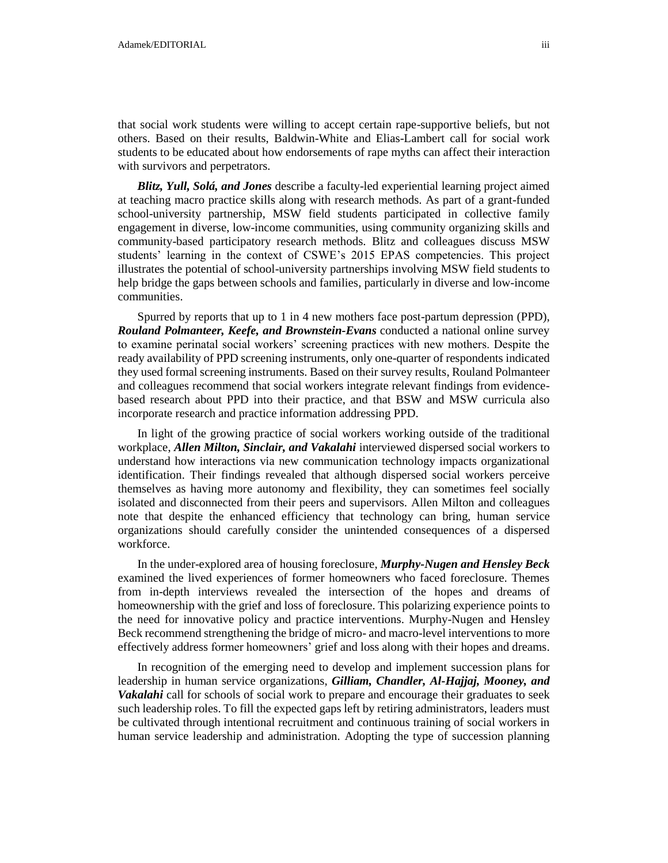that social work students were willing to accept certain rape-supportive beliefs, but not others. Based on their results, Baldwin-White and Elias-Lambert call for social work students to be educated about how endorsements of rape myths can affect their interaction with survivors and perpetrators.

*Blitz, Yull, Solá, and Jones* describe a faculty-led experiential learning project aimed at teaching macro practice skills along with research methods. As part of a grant-funded school-university partnership, MSW field students participated in collective family engagement in diverse, low-income communities, using community organizing skills and community-based participatory research methods. Blitz and colleagues discuss MSW students' learning in the context of CSWE's 2015 EPAS competencies. This project illustrates the potential of school-university partnerships involving MSW field students to help bridge the gaps between schools and families, particularly in diverse and low-income communities.

Spurred by reports that up to 1 in 4 new mothers face post-partum depression (PPD), *Rouland Polmanteer, Keefe, and Brownstein-Evans* conducted a national online survey to examine perinatal social workers' screening practices with new mothers. Despite the ready availability of PPD screening instruments, only one-quarter of respondents indicated they used formal screening instruments. Based on their survey results, Rouland Polmanteer and colleagues recommend that social workers integrate relevant findings from evidencebased research about PPD into their practice, and that BSW and MSW curricula also incorporate research and practice information addressing PPD.

In light of the growing practice of social workers working outside of the traditional workplace, *Allen Milton, Sinclair, and Vakalahi* interviewed dispersed social workers to understand how interactions via new communication technology impacts organizational identification. Their findings revealed that although dispersed social workers perceive themselves as having more autonomy and flexibility, they can sometimes feel socially isolated and disconnected from their peers and supervisors. Allen Milton and colleagues note that despite the enhanced efficiency that technology can bring, human service organizations should carefully consider the unintended consequences of a dispersed workforce.

In the under-explored area of housing foreclosure, *Murphy-Nugen and Hensley Beck* examined the lived experiences of former homeowners who faced foreclosure. Themes from in-depth interviews revealed the intersection of the hopes and dreams of homeownership with the grief and loss of foreclosure. This polarizing experience points to the need for innovative policy and practice interventions. Murphy-Nugen and Hensley Beck recommend strengthening the bridge of micro- and macro-level interventions to more effectively address former homeowners' grief and loss along with their hopes and dreams.

In recognition of the emerging need to develop and implement succession plans for leadership in human service organizations, *Gilliam, Chandler, Al-Hajjaj, Mooney, and Vakalahi* call for schools of social work to prepare and encourage their graduates to seek such leadership roles. To fill the expected gaps left by retiring administrators, leaders must be cultivated through intentional recruitment and continuous training of social workers in human service leadership and administration. Adopting the type of succession planning